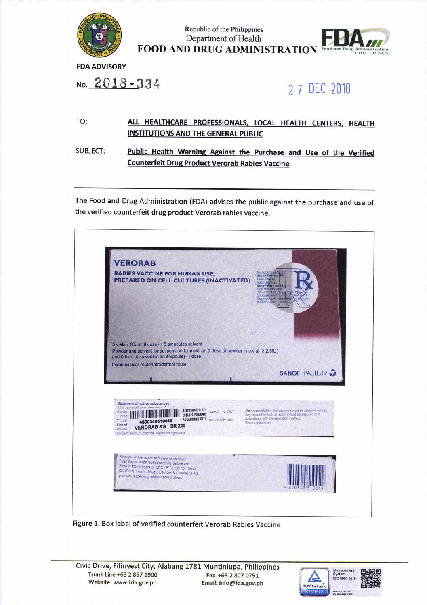

Republic of the Philippines Department of Health **FOOD AND DRUG ADMINISTRATION** Food and Drug Administration

**FDA ADVISORY** 

No. 2018-334

## 2 7 DEC 2018

## TO: ALL HEALTHCARE PROFESSIONALS, LOCAL HEALTH CENTERS, HEALTH **INSTITUTIONS AND THE GENERAL PUBLIC**

**SUBJECT:** Public Health Warning Against the Purchase and Use of the Verified **Counterfeit Drug Product Verorab Rabies Vaccine** 

The Food and Drug Administration (FDA) advises the public against the purchase and use of the verified counterfeit drug product Verorab rabies vaccine.



Figure 1. Box label of verified counterfeit Verorab Rabies Vaccine

Civic Drive, Filinvest City, Alabang 1781 Muntinlupa, Philippines Trunk Line +63 2 857 1900 Fax +63 2 807 0751 Website: www.fda.gov.ph Email: info@fda.gov.ph

![](_page_0_Picture_11.jpeg)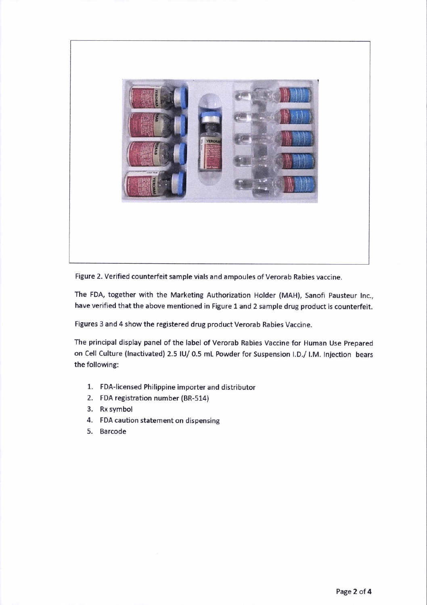![](_page_1_Picture_0.jpeg)

Figure 2. Verified counterfeit sample vials and ampoules of Verorab Rabies vaccine.

The FDA, together with the Marketing Authorization Holder (MAH), Sanofi Pausteur Inc., have verified that the above mentioned in Figure 1 and 2 sample drug product is counterfeit.

Figures 3 and 4 show the registered drug product Verorab Rabies Vaccine.

The principal display panel of the labei of Verorab Rabies Vaccine for Human Use prepared on Cell Culture (Inactivated) 2.5 IU/ 0.5 mL Powder for Suspension I.D./ I.M. Injection bears the following:

- 1. FDA-licensed Philippine importer and distributor
- 2. FOA registration number (BR-514)
- 3. Rx symbol
- 4. FDA caution statement on dispensing
- 5. Barcode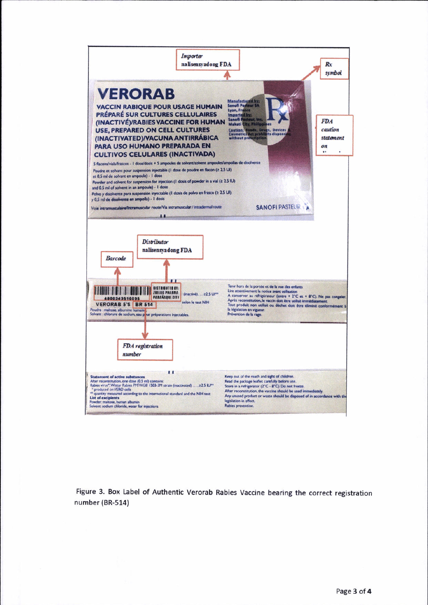![](_page_2_Figure_0.jpeg)

Figure 3. Box Label of Authentic Verorab Rabies Vaccine bearing the correct registration number (BR-514)